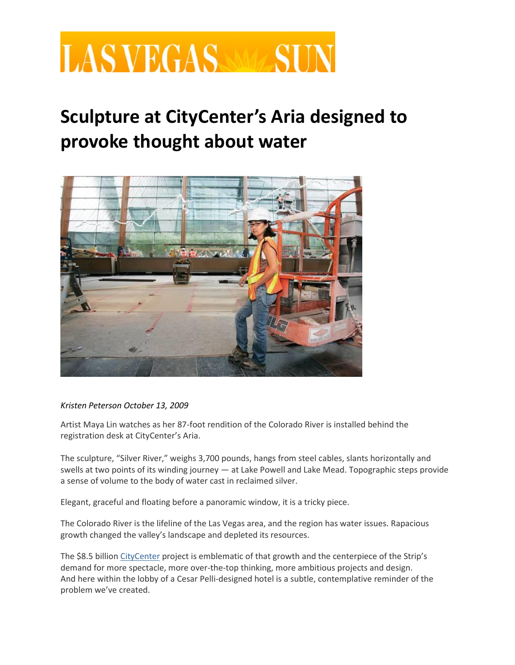## **LAS VEGAS SUR**

## **Sculpture at CityCenter's Aria designed to provoke thought about water**



## *Kristen Peterson October 13, 2009*

Artist Maya Lin watches as her 87-foot rendition of the Colorado River is installed behind the registration desk at CityCenter's Aria.

The sculpture, "Silver River," weighs 3,700 pounds, hangs from steel cables, slants horizontally and swells at two points of its winding journey — at Lake Powell and Lake Mead. Topographic steps provide a sense of volume to the body of water cast in reclaimed silver.

Elegant, graceful and floating before a panoramic window, it is a tricky piece.

The Colorado River is the lifeline of the Las Vegas area, and the region has water issues. Rapacious growth changed the valley's landscape and depleted its resources.

The \$8.5 billion [CityCenter](https://m.lasvegassun.com/news/citycenter/) project is emblematic of that growth and the centerpiece of the Strip's demand for more spectacle, more over-the-top thinking, more ambitious projects and design. And here within the lobby of a Cesar Pelli-designed hotel is a subtle, contemplative reminder of the problem we've created.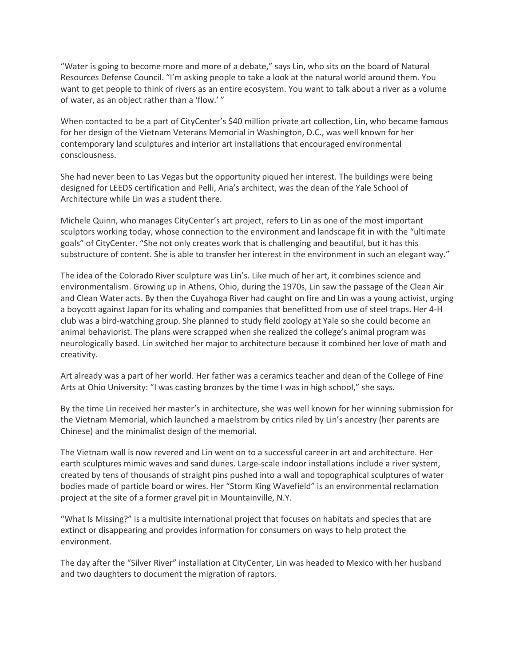"Water is going to become more and more of a debate," says Lin, who sits on the board of Natural Resources Defense Council. "I'm asking people to take a look at the natural world around them. You want to get people to think of rivers as an entire ecosystem. You want to talk about a river as a volume of water, as an object rather than a 'flow.' "

When contacted to be a part of CityCenter's \$40 million private art collection, Lin, who became famous for her design of the Vietnam Veterans Memorial in Washington, D.C., was well known for her contemporary land sculptures and interior art installations that encouraged environmental consciousness.

She had never been to Las Vegas but the opportunity piqued her interest. The buildings were being designed for LEEDS certification and Pelli, Aria's architect, was the dean of the Yale School of Architecture while Lin was a student there.

Michele Quinn, who manages CityCenter's art project, refers to Lin as one of the most important sculptors working today, whose connection to the environment and landscape fit in with the "ultimate goals" of CityCenter. "She not only creates work that is challenging and beautiful, but it has this substructure of content. She is able to transfer her interest in the environment in such an elegant way."

The idea of the Colorado River sculpture was Lin's. Like much of her art, it combines science and environmentalism. Growing up in Athens, Ohio, during the 1970s, Lin saw the passage of the Clean Air and Clean Water acts. By then the Cuyahoga River had caught on fire and Lin was a young activist, urging a boycott against Japan for its whaling and companies that benefitted from use of steel traps. Her 4-H club was a bird-watching group. She planned to study field zoology at Yale so she could become an animal behaviorist. The plans were scrapped when she realized the college's animal program was neurologically based. Lin switched her major to architecture because it combined her love of math and creativity.

Art already was a part of her world. Her father was a ceramics teacher and dean of the College of Fine Arts at Ohio University: "I was casting bronzes by the time I was in high school," she says.

By the time Lin received her master's in architecture, she was well known for her winning submission for the Vietnam Memorial, which launched a maelstrom by critics riled by Lin's ancestry (her parents are Chinese) and the minimalist design of the memorial.

The Vietnam wall is now revered and Lin went on to a successful career in art and architecture. Her earth sculptures mimic waves and sand dunes. Large-scale indoor installations include a river system, created by tens of thousands of straight pins pushed into a wall and topographical sculptures of water bodies made of particle board or wires. Her "Storm King Wavefield" is an environmental reclamation project at the site of a former gravel pit in Mountainville, N.Y.

"What Is Missing?" is a multisite international project that focuses on habitats and species that are extinct or disappearing and provides information for consumers on ways to help protect the environment.

The day after the "Silver River" installation at CityCenter, Lin was headed to Mexico with her husband and two daughters to document the migration of raptors.